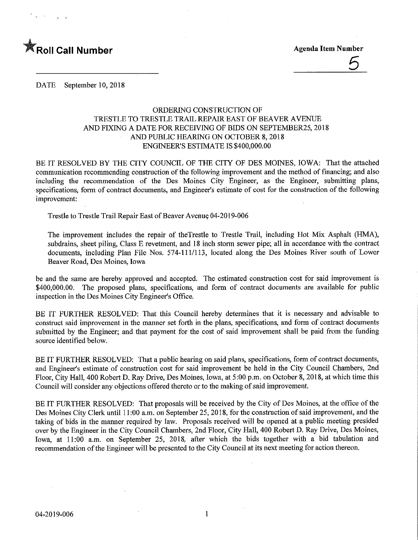

5

DATE September 10, 2018

# ORDERING CONSTRUCTION OF TRESTLE TO TRESTLE TRAIL REPAIR EAST OF BEAVER AVENUE AND FIXING A DATE FOR RECEIVING OF BIDS ON SEPTEMBER25, 2018 AND PUBLIC HEARING ON OCTOBER 8,2018 ENGINEER'S ESTIMATE IS \$400,000.00

BE IT RESOLVED BY THE CITY COUNCIL OF THE CITY OF DES MOINES, IOWA: That the attached communication recommending construction of the following improvement and the method of financing; and also including the recommendation of the Des Moines City Engineer, as the Engineer, submitting plans, specifications, form of contract documents, and Engineer's estimate of cost for the construction of the following improvement:

Trestle to Trestle Trail Repair East of Beaver Avenue 04-2019-006

The improvement includes the repair of theTrestle to Trestle Trail, including Hot Mix Asphalt (HMA), subdrains, sheet piling. Class E revetment, and 18 inch storm sewer pipe; all in accordance with the contract documents, including Plan File Nos. 574-111/113, located along the Des Moines River south of Lower Beaver Road, Des Moines, Iowa

be and the same are hereby approved and accepted. The estimated construction cost for said improvement is \$400,000.00. The proposed plans, specifications, and form of contract documents are available for public inspection in the Des Moines City Engineer's Office.

BE IT FURTHER RESOLVED: That this Council hereby determines that it is necessary and advisable to construct said improvement in the manner set forth in the plans, specifications, and form of contract documents submitted by the Engineer; and that payment for the cost of said improvement shall be paid from the funding source identified below.

BE IT FURTHER RESOLVED: That a public hearing on said plans, specifications, form of contract documents, and Engineer's estimate of construction cost for said improvement be held in the City Council Chambers, 2nd Floor, City Hall, 400 Robert D. Ray Drive, Des Moines, Iowa, at 5:00 p.m. on October 8, 2018, at which time this Council will consider any objections offered thereto or to the making of said improvement.

BE IT FURTHER RESOLVED: That proposals will be received by the City of Des Moines, at the office of the Des Moines City Clerk until 11:00 a.m. on September 25, 2018, for the construction of said improvement, and the taking of bids in the manner required by law. Proposals received will be opened at a public meeting presided over by the Engineer in the City Council Chambers, 2nd Floor, City Hall, 400 Robert D. Ray Drive, Des Moines, Iowa, at 11:00 a.m. on September 25, 2018, after which the bids together with a bid tabulation and recommendation of the Engineer will be presented to the City Council at its next meeting for action thereon.

 $\mathbf{1}$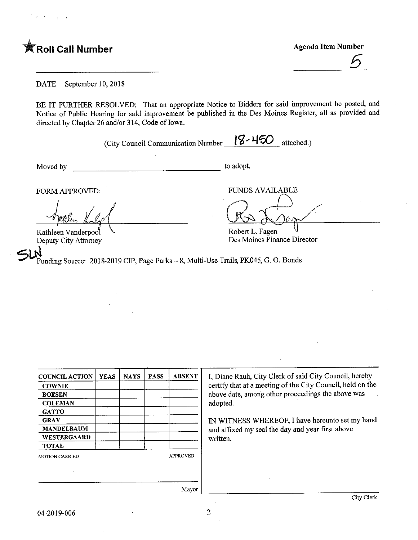Foll Call Number **Agents** Agenda Item Number

6

DATE September 10, 2018

BE IT FURTHER RESOLVED: That an appropriate Notice to Bidders for said improvement be posted, and Notice of Public Hearing for said improvement be published in the Des Moines Register, all as provided and directed by Chapter 26 and/or 314, Code of Iowa.

(City Council Communication Number  $18 - 150$  attached.)

Moved by to adopt.

Kathleen Vanderpool Deputy City Attorney Robert L. Fagen Des Moines Finance Director

 $\mathsf{Sh}^{\widetilde{\mathsf{N}}}_{\mathrm{Fr}}$ Funding Source: 2018-2019 CIP, Page Parks - 8, Multi-Use Trails, PK045, G. O. Bonds

FORM APPROVED: FUNDS AVAILABLE

| <b>COUNCIL ACTION</b> | <b>YEAS</b> | <b>NAYS</b> | <b>PASS</b>     | <b>ABSENT</b> |  |
|-----------------------|-------------|-------------|-----------------|---------------|--|
| <b>COWNIE</b>         |             |             |                 |               |  |
| <b>BOESEN</b>         |             |             |                 |               |  |
| <b>COLEMAN</b>        |             |             |                 |               |  |
| <b>GATTO</b>          |             |             |                 |               |  |
| <b>GRAY</b>           |             |             |                 |               |  |
| <b>MANDELBAUM</b>     |             |             |                 |               |  |
| WESTERGAARD           |             |             |                 |               |  |
| <b>TOTAL</b>          |             |             |                 |               |  |
| <b>MOTION CARRIED</b> |             |             | <b>APPROVED</b> |               |  |
|                       |             |             |                 |               |  |
|                       |             |             |                 |               |  |

I, Diane Rauh, City Clerk of said City Council, hereby certify that at a meeting of the City Council, held on the above date, among other proceedings the above was adopted.

IN WITNESS WHEREOF, I have hereunto set my hand and affixed my seal the day and year first above written.

Mayor

 $\overline{2}$